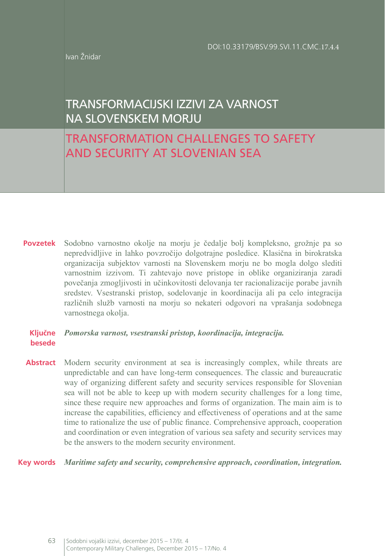Ivan Žnidar

# TRANSFORMACIJSKI IZZIVI ZA VARNOST NA SLOVENSKEM MORJU

# TRANSFORMATION CHALLENGES TO SAFETY AND SECURITY AT SLOVENIAN SEA

**Povzetek** Sodobno varnostno okolje na morju je čedalje bolj kompleksno, grožnje pa so nepredvidljive in lahko povzročijo dolgotrajne posledice. Klasična in birokratska organizacija subjektov varnosti na Slovenskem morju ne bo mogla dolgo slediti varnostnim izzivom. Ti zahtevajo nove pristope in oblike organiziranja zaradi povečanja zmogljivosti in učinkovitosti delovanja ter racionalizacije porabe javnih sredstev. Vsestranski pristop, sodelovanje in koordinacija ali pa celo integracija različnih služb varnosti na morju so nekateri odgovori na vprašanja sodobnega varnostnega okolja.

## **Ključne**  *Pomorska varnost, vsestranski pristop, koordinacija, integracija.* **besede**

**Abstract** Modern security environment at sea is increasingly complex, while threats are unpredictable and can have long-term consequences. The classic and bureaucratic way of organizing different safety and security services responsible for Slovenian sea will not be able to keep up with modern security challenges for a long time, since these require new approaches and forms of organization. The main aim is to increase the capabilities, efficiency and effectiveness of operations and at the same time to rationalize the use of public finance. Comprehensive approach, cooperation and coordination or even integration of various sea safety and security services may be the answers to the modern security environment.

## **Key words** *Maritime safety and security, comprehensive approach, coordination, integration.*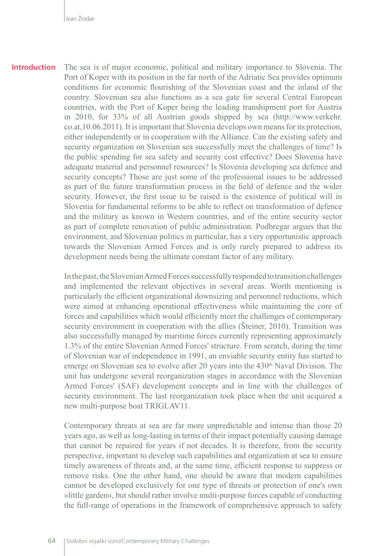The sea is of major economic, political and military importance to Slovenia. The Port of Koper with its position in the far north of the Adriatic Sea provides optimum conditions for economic flourishing of the Slovenian coast and the inland of the country. Slovenian sea also functions as a sea gate for several Central European countries, with the Port of Koper being the leading transhipment port for Austria in 2010, for 33% of all Austrian goods shipped by sea (http://[www.verkehr.](http://www.verkehr.co.at,10.06.2011) [co.at,10.06.2011\)](http://www.verkehr.co.at,10.06.2011). It is important that Slovenia develops own means for its protection, either independently or in cooperation with the Alliance. Can the existing safety and security organization on Slovenian sea successfully meet the challenges of time? Is the public spending for sea safety and security cost effective? Does Slovenia have adequate material and personnel resources? Is Slovenia developing sea defence and security concepts? Those are just some of the professional issues to be addressed as part of the future transformation process in the field of defence and the wider security. However, the first issue to be raised is the existence of political will in Slovenia for fundamental reforms to be able to reflect on transformation of defence and the military as known in Western countries, and of the entire security sector as part of complete renovation of public administration. Podbregar argues that the environment, and Slovenian politics in particular, has a very opportunistic approach towards the Slovenian Armed Forces and is only rarely prepared to address its development needs being the ultimate constant factor of any military. **Introduction**

> In the past, the Slovenian Armed Forces successfully responded to transition challenges and implemented the relevant objectives in several areas. Worth mentioning is particularly the efficient organizational downsizing and personnel reductions, which were aimed at enhancing operational effectiveness while maintaining the core of forces and capabilities which would efficiently meet the challenges of contemporary security environment in cooperation with the allies (Šteiner, 2010). Transition was also successfully managed by maritime forces currently representing approximately 1.3% of the entire Slovenian Armed Forces' structure. From scratch, during the time of Slovenian war of independence in 1991, an enviable security entity has started to emerge on Slovenian sea to evolve after 20 years into the  $430<sup>th</sup>$  Naval Division. The unit has undergone several reorganization stages in accordance with the Slovenian Armed Forces' (SAF) development concepts and in line with the challenges of security environment. The last reorganization took place when the unit acquired a new multi-purpose boat TRIGLAV11.

> Contemporary threats at sea are far more unpredictable and intense than those 20 years ago, as well as long-lasting in terms of their impact potentially causing damage that cannot be repaired for years if not decades. It is therefore, from the security perspective, important to develop such capabilities and organization at sea to ensure timely awareness of threats and, at the same time, efficient response to suppress or remove risks. One the other hand, one should be aware that modern capabilities cannot be developed exclusively for one type of threats or protection of one's own »little garden«, but should rather involve multi-purpose forces capable of conducting the full-range of operations in the framework of comprehensive approach to safety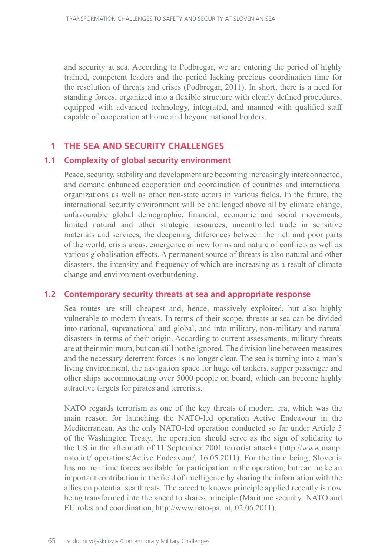and security at sea. According to Podbregar, we are entering the period of highly trained, competent leaders and the period lacking precious coordination time for the resolution of threats and crises (Podbregar, 2011). In short, there is a need for standing forces, organized into a flexible structure with clearly defined procedures, equipped with advanced technology, integrated, and manned with qualified staff capable of cooperation at home and beyond national borders.

# **1 THE SEA AND SECURITY CHALLENGES**

# **1.1 Complexity of global security environment**

Peace, security, stability and development are becoming increasingly interconnected, and demand enhanced cooperation and coordination of countries and international organizations as well as other non-state actors in various fields. In the future, the international security environment will be challenged above all by climate change, unfavourable global demographic, financial, economic and social movements, limited natural and other strategic resources, uncontrolled trade in sensitive materials and services, the deepening differences between the rich and poor parts of the world, crisis areas, emergence of new forms and nature of conflicts as well as various globalisation effects. A permanent source of threats is also natural and other disasters, the intensity and frequency of which are increasing as a result of climate change and environment overburdening.

# **1.2 Contemporary security threats at sea and appropriate response**

Sea routes are still cheapest and, hence, massively exploited, but also highly vulnerable to modern threats. In terms of their scope, threats at sea can be divided into national, supranational and global, and into military, non-military and natural disasters in terms of their origin. According to current assessments, military threats are at their minimum, but can still not be ignored. The division line between measures and the necessary deterrent forces is no longer clear. The sea is turning into a man's living environment, the navigation space for huge oil tankers, supper passenger and other ships accommodating over 5000 people on board, which can become highly attractive targets for pirates and terrorists.

NATO regards terrorism as one of the key threats of modern era, which was the main reason for launching the NATO-led operation Active Endeavour in the Mediterranean. As the only NATO-led operation conducted so far under Article 5 of the Washington Treaty, the operation should serve as the sign of solidarity to the US in the aftermath of 11 September 2001 terrorist attacks [\(http://www.manp.](http://www.manp.nato.int/) [nato.int/](http://www.manp.nato.int/) operations/Active Endeavour/, 16.05.2011). For the time being, Slovenia has no maritime forces available for participation in the operation, but can make an important contribution in the field of intelligence by sharing the information with the allies on potential sea threats. The »need to know« principle applied recently is now being transformed into the »need to share« principle (Maritime security: NATO and EU roles and coordination, http://www.nato-pa.int, 02.06.2011).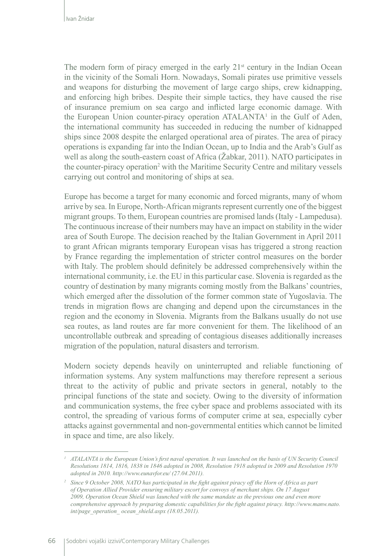The modern form of piracy emerged in the early  $21<sup>st</sup>$  century in the Indian Ocean in the vicinity of the Somali Horn. Nowadays, Somali pirates use primitive vessels and weapons for disturbing the movement of large cargo ships, crew kidnapping, and enforcing high bribes. Despite their simple tactics, they have caused the rise of insurance premium on sea cargo and inflicted large economic damage. With the European Union counter-piracy operation ATALANTA<sup>1</sup> in the Gulf of Aden, the international community has succeeded in reducing the number of kidnapped ships since 2008 despite the enlarged operational area of pirates. The area of piracy operations is expanding far into the Indian Ocean, up to India and the Arab's Gulf as well as along the south-eastern coast of Africa (Žabkar, 2011). NATO participates in the counter-piracy operation<sup>2</sup> with the Maritime Security Centre and military vessels carrying out control and monitoring of ships at sea.

Europe has become a target for many economic and forced migrants, many of whom arrive by sea. In Europe, North-African migrants represent currently one of the biggest migrant groups. To them, European countries are promised lands (Italy - Lampedusa). The continuous increase of their numbers may have an impact on stability in the wider area of South Europe. The decision reached by the Italian Government in April 2011 to grant African migrants temporary European visas has triggered a strong reaction by France regarding the implementation of stricter control measures on the border with Italy. The problem should definitely be addressed comprehensively within the international community, i.e. the EU in this particular case. Slovenia is regarded as the country of destination by many migrants coming mostly from the Balkans' countries, which emerged after the dissolution of the former common state of Yugoslavia. The trends in migration flows are changing and depend upon the circumstances in the region and the economy in Slovenia. Migrants from the Balkans usually do not use sea routes, as land routes are far more convenient for them. The likelihood of an uncontrollable outbreak and spreading of contagious diseases additionally increases migration of the population, natural disasters and terrorism.

Modern society depends heavily on uninterrupted and reliable functioning of information systems. Any system malfunctions may therefore represent a serious threat to the activity of public and private sectors in general, notably to the principal functions of the state and society. Owing to the diversity of information and communication systems, the free cyber space and problems associated with its control, the spreading of various forms of computer crime at sea, especially cyber attacks against governmental and non-governmental entities which cannot be limited in space and time, are also likely.

*<sup>1</sup> ATALANTA is the European Union's first naval operation. It was launched on the basis of UN Security Council Resolutions 1814, 1816, 1838 in 1846 adopted in 2008, Resolution 1918 adopted in 2009 and Resolution 1970 adopted in 2010. http://www.eunavfor.eu/ (27.04.2011).* 

*<sup>2</sup> Since 9 October 2008, NATO has participated in the fight against piracy off the Horn of Africa as part of Operation Allied Provider ensuring military escort for convoys of merchant ships. On 17 August 2009, Operation Ocean Shield was launched with the same mandate as the previous one and even more comprehensive approach by preparing domestic capabilities for the fight against piracy. http://www.manw.nato. int/page\_operation\_ ocean\_shield.aspx (18.05.2011).*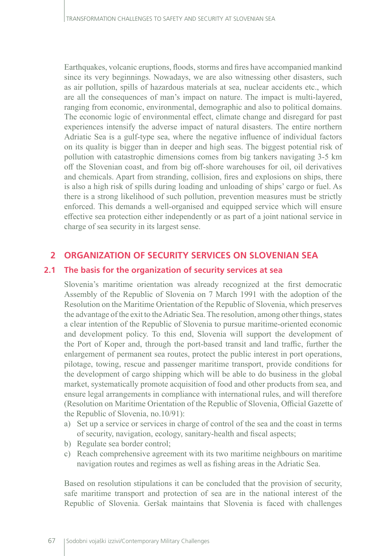Earthquakes, volcanic eruptions, floods, storms and fires have accompanied mankind since its very beginnings. Nowadays, we are also witnessing other disasters, such as air pollution, spills of hazardous materials at sea, nuclear accidents etc., which are all the consequences of man's impact on nature. The impact is multi-layered, ranging from economic, environmental, demographic and also to political domains. The economic logic of environmental effect, climate change and disregard for past experiences intensify the adverse impact of natural disasters. The entire northern Adriatic Sea is a gulf-type sea, where the negative influence of individual factors on its quality is bigger than in deeper and high seas. The biggest potential risk of pollution with catastrophic dimensions comes from big tankers navigating 3-5 km off the Slovenian coast, and from big off-shore warehouses for oil, oil derivatives and chemicals. Apart from stranding, collision, fires and explosions on ships, there is also a high risk of spills during loading and unloading of ships' cargo or fuel. As there is a strong likelihood of such pollution, prevention measures must be strictly enforced. This demands a well-organised and equipped service which will ensure effective sea protection either independently or as part of a joint national service in charge of sea security in its largest sense.

## **2 ORGANIZATION OF SECURITY SERVICES ON SLOVENIAN SEA**

#### **2.1 The basis for the organization of security services at sea**

Slovenia's maritime orientation was already recognized at the first democratic Assembly of the Republic of Slovenia on 7 March 1991 with the adoption of the Resolution on the Maritime Orientation of the Republic of Slovenia, which preserves the advantage of the exit to the Adriatic Sea. The resolution, among other things, states a clear intention of the Republic of Slovenia to pursue maritime-oriented economic and development policy. To this end, Slovenia will support the development of the Port of Koper and, through the port-based transit and land traffic, further the enlargement of permanent sea routes, protect the public interest in port operations, pilotage, towing, rescue and passenger maritime transport, provide conditions for the development of cargo shipping which will be able to do business in the global market, systematically promote acquisition of food and other products from sea, and ensure legal arrangements in compliance with international rules, and will therefore (Resolution on Maritime Orientation of the Republic of Slovenia, Official Gazette of the Republic of Slovenia, no.10/91):

- a) Set up a service or services in charge of control of the sea and the coast in terms of security, navigation, ecology, sanitary-health and fiscal aspects;
- b) Regulate sea border control;
- c) Reach comprehensive agreement with its two maritime neighbours on maritime navigation routes and regimes as well as fishing areas in the Adriatic Sea.

Based on resolution stipulations it can be concluded that the provision of security, safe maritime transport and protection of sea are in the national interest of the Republic of Slovenia. Geršak maintains that Slovenia is faced with challenges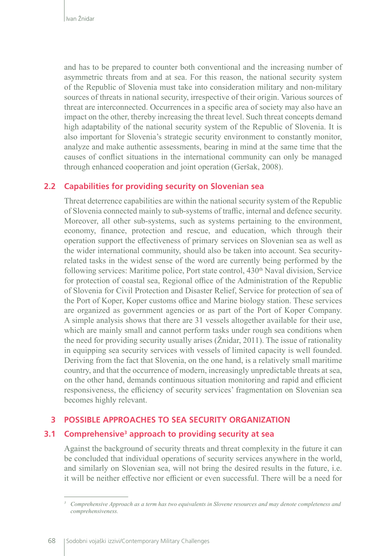and has to be prepared to counter both conventional and the increasing number of asymmetric threats from and at sea. For this reason, the national security system of the Republic of Slovenia must take into consideration military and non-military sources of threats in national security, irrespective of their origin. Various sources of threat are interconnected. Occurrences in a specific area of society may also have an impact on the other, thereby increasing the threat level. Such threat concepts demand high adaptability of the national security system of the Republic of Slovenia. It is also important for Slovenia's strategic security environment to constantly monitor, analyze and make authentic assessments, bearing in mind at the same time that the causes of conflict situations in the international community can only be managed through enhanced cooperation and joint operation (Geršak, 2008).

# **2.2 Capabilities for providing security on Slovenian sea**

Threat deterrence capabilities are within the national security system of the Republic of Slovenia connected mainly to sub-systems of traffic, internal and defence security. Moreover, all other sub-systems, such as systems pertaining to the environment, economy, finance, protection and rescue, and education, which through their operation support the effectiveness of primary services on Slovenian sea as well as the wider international community, should also be taken into account. Sea securityrelated tasks in the widest sense of the word are currently being performed by the following services: Maritime police, Port state control,  $430<sup>th</sup>$  Naval division, Service for protection of coastal sea, Regional office of the Administration of the Republic of Slovenia for Civil Protection and Disaster Relief, Service for protection of sea of the Port of Koper, Koper customs office and Marine biology station. These services are organized as government agencies or as part of the Port of Koper Company. A simple analysis shows that there are 31 vessels altogether available for their use, which are mainly small and cannot perform tasks under rough sea conditions when the need for providing security usually arises (Žnidar, 2011). The issue of rationality in equipping sea security services with vessels of limited capacity is well founded. Deriving from the fact that Slovenia, on the one hand, is a relatively small maritime country, and that the occurrence of modern, increasingly unpredictable threats at sea, on the other hand, demands continuous situation monitoring and rapid and efficient responsiveness, the efficiency of security services' fragmentation on Slovenian sea becomes highly relevant.

# **3 POSSIBLE APPROACHES TO SEA SECURITY ORGANIZATION**

## **3.1 Comprehensive3 approach to providing security at sea**

Against the background of security threats and threat complexity in the future it can be concluded that individual operations of security services anywhere in the world, and similarly on Slovenian sea, will not bring the desired results in the future, i.e. it will be neither effective nor efficient or even successful. There will be a need for

*<sup>3</sup> Comprehensive Approach as a term has two equivalents in Slovene resources and may denote completeness and comprehensiveness.*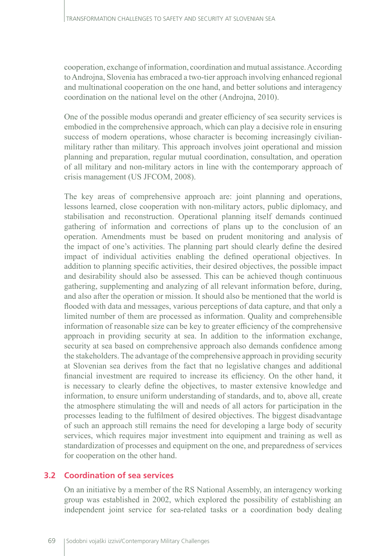cooperation, exchange of information, coordination and mutual assistance. According to Androjna, Slovenia has embraced a two-tier approach involving enhanced regional and multinational cooperation on the one hand, and better solutions and interagency coordination on the national level on the other (Androjna, 2010).

One of the possible modus operandi and greater efficiency of sea security services is embodied in the comprehensive approach, which can play a decisive role in ensuring success of modern operations, whose character is becoming increasingly civilianmilitary rather than military. This approach involves joint operational and mission planning and preparation, regular mutual coordination, consultation, and operation of all military and non-military actors in line with the contemporary approach of crisis management (US JFCOM, 2008).

The key areas of comprehensive approach are: joint planning and operations, lessons learned, close cooperation with non-military actors, public diplomacy, and stabilisation and reconstruction. Operational planning itself demands continued gathering of information and corrections of plans up to the conclusion of an operation. Amendments must be based on prudent monitoring and analysis of the impact of one's activities. The planning part should clearly define the desired impact of individual activities enabling the defined operational objectives. In addition to planning specific activities, their desired objectives, the possible impact and desirability should also be assessed. This can be achieved though continuous gathering, supplementing and analyzing of all relevant information before, during, and also after the operation or mission. It should also be mentioned that the world is flooded with data and messages, various perceptions of data capture, and that only a limited number of them are processed as information. Quality and comprehensible information of reasonable size can be key to greater efficiency of the comprehensive approach in providing security at sea. In addition to the information exchange, security at sea based on comprehensive approach also demands confidence among the stakeholders. The advantage of the comprehensive approach in providing security at Slovenian sea derives from the fact that no legislative changes and additional financial investment are required to increase its efficiency. On the other hand, it is necessary to clearly define the objectives, to master extensive knowledge and information, to ensure uniform understanding of standards, and to, above all, create the atmosphere stimulating the will and needs of all actors for participation in the processes leading to the fulfilment of desired objectives. The biggest disadvantage of such an approach still remains the need for developing a large body of security services, which requires major investment into equipment and training as well as standardization of processes and equipment on the one, and preparedness of services for cooperation on the other hand.

## **3.2 Coordination of sea services**

On an initiative by a member of the RS National Assembly, an interagency working group was established in 2002, which explored the possibility of establishing an independent joint service for sea-related tasks or a coordination body dealing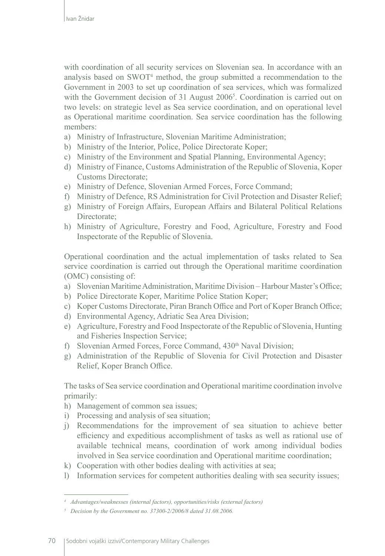with coordination of all security services on Slovenian sea. In accordance with an analysis based on SWOT4 method, the group submitted a recommendation to the Government in 2003 to set up coordination of sea services, which was formalized with the Government decision of 31 August 2006<sup>5</sup>. Coordination is carried out on two levels: on strategic level as Sea service coordination, and on operational level as Operational maritime coordination. Sea service coordination has the following members:

- a) Ministry of Infrastructure, Slovenian Maritime Administration;
- b) Ministry of the Interior, Police, Police Directorate Koper;
- c) Ministry of the Environment and Spatial Planning, Environmental Agency;
- d) Ministry of Finance, Customs Administration of the Republic of Slovenia, Koper Customs Directorate;
- e) Ministry of Defence, Slovenian Armed Forces, Force Command;
- f) Ministry of Defence, RS Administration for Civil Protection and Disaster Relief;
- g) Ministry of Foreign Affairs, European Affairs and Bilateral Political Relations Directorate;
- h) Ministry of Agriculture, Forestry and Food, Agriculture, Forestry and Food Inspectorate of the Republic of Slovenia.

Operational coordination and the actual implementation of tasks related to Sea service coordination is carried out through the Operational maritime coordination (OMC) consisting of:

- a) Slovenian Maritime Administration, Maritime Division Harbour Master's Office;
- b) Police Directorate Koper, Maritime Police Station Koper;
- c) Koper Customs Directorate, Piran Branch Office and Port of Koper Branch Office;
- d) Environmental Agency, Adriatic Sea Area Division;
- e) Agriculture, Forestry and Food Inspectorate of the Republic of Slovenia, Hunting and Fisheries Inspection Service;
- f) Slovenian Armed Forces, Force Command, 430<sup>th</sup> Naval Division;
- g) Administration of the Republic of Slovenia for Civil Protection and Disaster Relief, Koper Branch Office.

The tasks of Sea service coordination and Operational maritime coordination involve primarily:

- h) Management of common sea issues;
- i) Processing and analysis of sea situation;
- j) Recommendations for the improvement of sea situation to achieve better efficiency and expeditious accomplishment of tasks as well as rational use of available technical means, coordination of work among individual bodies involved in Sea service coordination and Operational maritime coordination;
- k) Cooperation with other bodies dealing with activities at sea;
- l) Information services for competent authorities dealing with sea security issues;

*<sup>4</sup> Advantages/weaknesses (internal factors), opportunities/risks (external factors)*

*<sup>5</sup> Decision by the Government no. 37300-2/2006/8 dated 31.08.2006.*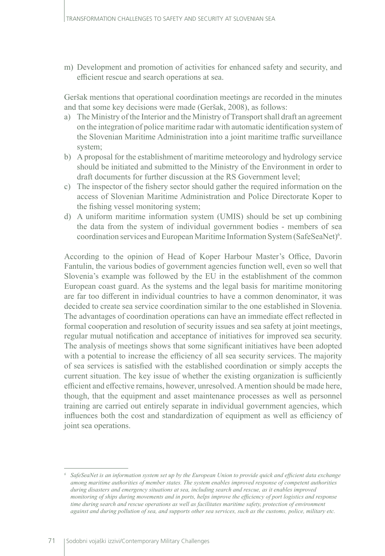m) Development and promotion of activities for enhanced safety and security, and efficient rescue and search operations at sea.

Geršak mentions that operational coordination meetings are recorded in the minutes and that some key decisions were made (Geršak, 2008), as follows:

- a) The Ministry of the Interior and the Ministry of Transport shall draft an agreement on the integration of police maritime radar with automatic identification system of the Slovenian Maritime Administration into a joint maritime traffic surveillance system;
- b) A proposal for the establishment of maritime meteorology and hydrology service should be initiated and submitted to the Ministry of the Environment in order to draft documents for further discussion at the RS Government level;
- c) The inspector of the fishery sector should gather the required information on the access of Slovenian Maritime Administration and Police Directorate Koper to the fishing vessel monitoring system;
- d) A uniform maritime information system (UMIS) should be set up combining the data from the system of individual government bodies - members of sea coordination services and European Maritime Information System (SafeSeaNet)<sup>6</sup>.

According to the opinion of Head of Koper Harbour Master's Office, Davorin Fantulin, the various bodies of government agencies function well, even so well that Slovenia's example was followed by the EU in the establishment of the common European coast guard. As the systems and the legal basis for maritime monitoring are far too different in individual countries to have a common denominator, it was decided to create sea service coordination similar to the one established in Slovenia. The advantages of coordination operations can have an immediate effect reflected in formal cooperation and resolution of security issues and sea safety at joint meetings, regular mutual notification and acceptance of initiatives for improved sea security. The analysis of meetings shows that some significant initiatives have been adopted with a potential to increase the efficiency of all sea security services. The majority of sea services is satisfied with the established coordination or simply accepts the current situation. The key issue of whether the existing organization is sufficiently efficient and effective remains, however, unresolved. A mention should be made here, though, that the equipment and asset maintenance processes as well as personnel training are carried out entirely separate in individual government agencies, which influences both the cost and standardization of equipment as well as efficiency of joint sea operations.

*<sup>6</sup> SafeSeaNet is an information system set up by the European Union to provide quick and efficient data exchange among maritime authorities of member states. The system enables improved response of competent authorities during disasters and emergency situations at sea, including search and rescue, as it enables improved monitoring of ships during movements and in ports, helps improve the efficiency of port logistics and response time during search and rescue operations as well as facilitates maritime safety, protection of environment against and during pollution of sea, and supports other sea services, such as the customs, police, military etc.*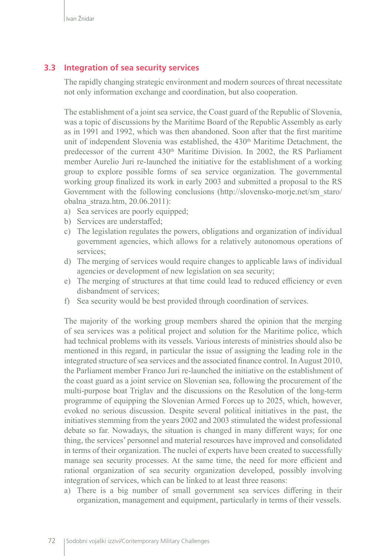## **3.3 Integration of sea security services**

The rapidly changing strategic environment and modern sources of threat necessitate not only information exchange and coordination, but also cooperation.

The establishment of a joint sea service, the Coast guard of the Republic of Slovenia, was a topic of discussions by the Maritime Board of the Republic Assembly as early as in 1991 and 1992, which was then abandoned. Soon after that the first maritime unit of independent Slovenia was established, the  $430<sup>th</sup>$  Maritime Detachment, the predecessor of the current  $430<sup>th</sup>$  Maritime Division. In 2002, the RS Parliament member Aurelio Juri re-launched the initiative for the establishment of a working group to explore possible forms of sea service organization. The governmental working group finalized its work in early 2003 and submitted a proposal to the RS Government with the following conclusions (http://slovensko-morje.net/sm\_staro/ obalna\_straza.htm, 20.06.2011):

- a) Sea services are poorly equipped;
- b) Services are understaffed;
- c) The legislation regulates the powers, obligations and organization of individual government agencies, which allows for a relatively autonomous operations of services;
- d) The merging of services would require changes to applicable laws of individual agencies or development of new legislation on sea security;
- e) The merging of structures at that time could lead to reduced efficiency or even disbandment of services;
- f) Sea security would be best provided through coordination of services.

The majority of the working group members shared the opinion that the merging of sea services was a political project and solution for the Maritime police, which had technical problems with its vessels. Various interests of ministries should also be mentioned in this regard, in particular the issue of assigning the leading role in the integrated structure of sea services and the associated finance control. In August 2010, the Parliament member Franco Juri re-launched the initiative on the establishment of the coast guard as a joint service on Slovenian sea, following the procurement of the multi-purpose boat Triglav and the discussions on the Resolution of the long-term programme of equipping the Slovenian Armed Forces up to 2025, which, however, evoked no serious discussion. Despite several political initiatives in the past, the initiatives stemming from the years 2002 and 2003 stimulated the widest professional debate so far. Nowadays, the situation is changed in many different ways; for one thing, the services' personnel and material resources have improved and consolidated in terms of their organization. The nuclei of experts have been created to successfully manage sea security processes. At the same time, the need for more efficient and rational organization of sea security organization developed, possibly involving integration of services, which can be linked to at least three reasons:

a) There is a big number of small government sea services differing in their organization, management and equipment, particularly in terms of their vessels.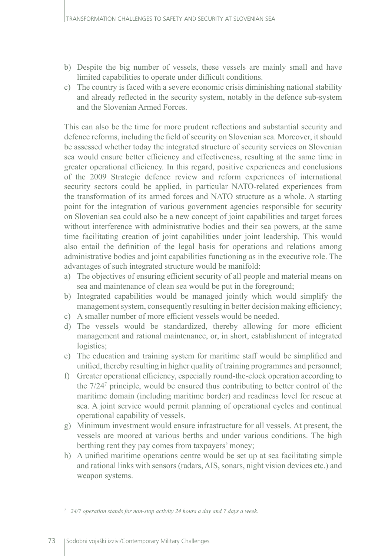- b) Despite the big number of vessels, these vessels are mainly small and have limited capabilities to operate under difficult conditions.
- c) The country is faced with a severe economic crisis diminishing national stability and already reflected in the security system, notably in the defence sub-system and the Slovenian Armed Forces.

This can also be the time for more prudent reflections and substantial security and defence reforms, including the field of security on Slovenian sea. Moreover, it should be assessed whether today the integrated structure of security services on Slovenian sea would ensure better efficiency and effectiveness, resulting at the same time in greater operational efficiency. In this regard, positive experiences and conclusions of the 2009 Strategic defence review and reform experiences of international security sectors could be applied, in particular NATO-related experiences from the transformation of its armed forces and NATO structure as a whole. A starting point for the integration of various government agencies responsible for security on Slovenian sea could also be a new concept of joint capabilities and target forces without interference with administrative bodies and their sea powers, at the same time facilitating creation of joint capabilities under joint leadership. This would also entail the definition of the legal basis for operations and relations among administrative bodies and joint capabilities functioning as in the executive role. The advantages of such integrated structure would be manifold:

- a) The objectives of ensuring efficient security of all people and material means on sea and maintenance of clean sea would be put in the foreground;
- b) Integrated capabilities would be managed jointly which would simplify the management system, consequently resulting in better decision making efficiency;
- c) A smaller number of more efficient vessels would be needed.
- d) The vessels would be standardized, thereby allowing for more efficient management and rational maintenance, or, in short, establishment of integrated logistics;
- e) The education and training system for maritime staff would be simplified and unified, thereby resulting in higher quality of training programmes and personnel;
- f) Greater operational efficiency, especially round-the-clock operation according to the 7/247 principle, would be ensured thus contributing to better control of the maritime domain (including maritime border) and readiness level for rescue at sea. A joint service would permit planning of operational cycles and continual operational capability of vessels.
- g) Minimum investment would ensure infrastructure for all vessels. At present, the vessels are moored at various berths and under various conditions. The high berthing rent they pay comes from taxpayers' money;
- h) A unified maritime operations centre would be set up at sea facilitating simple and rational links with sensors (radars, AIS, sonars, night vision devices etc.) and weapon systems.

*<sup>7</sup> 24/7 operation stands for non-stop activity 24 hours a day and 7 days a week.*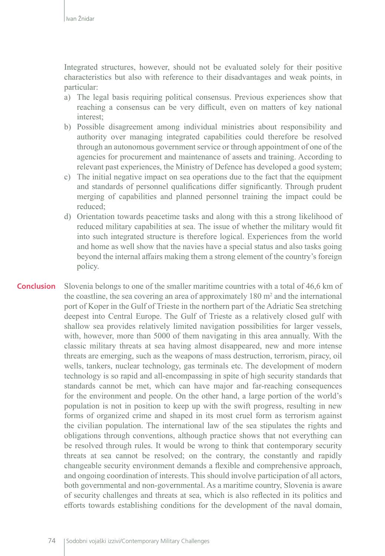Integrated structures, however, should not be evaluated solely for their positive characteristics but also with reference to their disadvantages and weak points, in particular:

- a) The legal basis requiring political consensus. Previous experiences show that reaching a consensus can be very difficult, even on matters of key national interest;
- b) Possible disagreement among individual ministries about responsibility and authority over managing integrated capabilities could therefore be resolved through an autonomous government service or through appointment of one of the agencies for procurement and maintenance of assets and training. According to relevant past experiences, the Ministry of Defence has developed a good system;
- c) The initial negative impact on sea operations due to the fact that the equipment and standards of personnel qualifications differ significantly. Through prudent merging of capabilities and planned personnel training the impact could be reduced;
- d) Orientation towards peacetime tasks and along with this a strong likelihood of reduced military capabilities at sea. The issue of whether the military would fit into such integrated structure is therefore logical. Experiences from the world and home as well show that the navies have a special status and also tasks going beyond the internal affairs making them a strong element of the country's foreign policy.
- Slovenia belongs to one of the smaller maritime countries with a total of 46,6 km of the coastline, the sea covering an area of approximately  $180 \text{ m}^2$  and the international port of Koper in the Gulf of Trieste in the northern part of the Adriatic Sea stretching deepest into Central Europe. The Gulf of Trieste as a relatively closed gulf with shallow sea provides relatively limited navigation possibilities for larger vessels, with, however, more than 5000 of them navigating in this area annually. With the classic military threats at sea having almost disappeared, new and more intense threats are emerging, such as the weapons of mass destruction, terrorism, piracy, oil wells, tankers, nuclear technology, gas terminals etc. The development of modern technology is so rapid and all-encompassing in spite of high security standards that standards cannot be met, which can have major and far-reaching consequences for the environment and people. On the other hand, a large portion of the world's population is not in position to keep up with the swift progress, resulting in new forms of organized crime and shaped in its most cruel form as terrorism against the civilian population. The international law of the sea stipulates the rights and obligations through conventions, although practice shows that not everything can be resolved through rules. It would be wrong to think that contemporary security threats at sea cannot be resolved; on the contrary, the constantly and rapidly changeable security environment demands a flexible and comprehensive approach, and ongoing coordination of interests. This should involve participation of all actors, both governmental and non-governmental. As a maritime country, Slovenia is aware of security challenges and threats at sea, which is also reflected in its politics and efforts towards establishing conditions for the development of the naval domain, **Conclusion**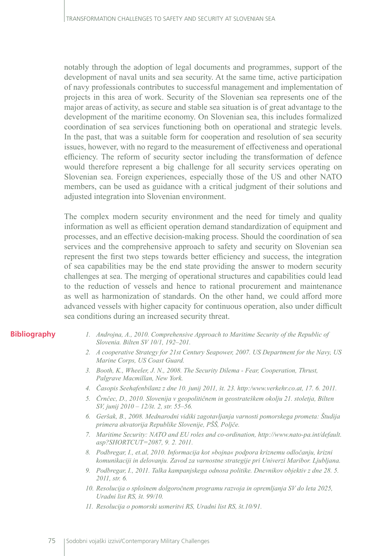notably through the adoption of legal documents and programmes, support of the development of naval units and sea security. At the same time, active participation of navy professionals contributes to successful management and implementation of projects in this area of work. Security of the Slovenian sea represents one of the major areas of activity, as secure and stable sea situation is of great advantage to the development of the maritime economy. On Slovenian sea, this includes formalized coordination of sea services functioning both on operational and strategic levels. In the past, that was a suitable form for cooperation and resolution of sea security issues, however, with no regard to the measurement of effectiveness and operational efficiency. The reform of security sector including the transformation of defence would therefore represent a big challenge for all security services operating on Slovenian sea. Foreign experiences, especially those of the US and other NATO members, can be used as guidance with a critical judgment of their solutions and adjusted integration into Slovenian environment.

The complex modern security environment and the need for timely and quality information as well as efficient operation demand standardization of equipment and processes, and an effective decision-making process. Should the coordination of sea services and the comprehensive approach to safety and security on Slovenian sea represent the first two steps towards better efficiency and success, the integration of sea capabilities may be the end state providing the answer to modern security challenges at sea. The merging of operational structures and capabilities could lead to the reduction of vessels and hence to rational procurement and maintenance as well as harmonization of standards. On the other hand, we could afford more advanced vessels with higher capacity for continuous operation, also under difficult sea conditions during an increased security threat.

#### **Bibliography**

- *1. Androjna, A., 2010. Comprehensive Approach to Maritime Security of the Republic of Slovenia. Bilten SV 10/1, 192–201.*
- *2. A cooperative Strategy for 21st Century Seapower, 2007. US Department for the Navy, US Marine Corps, US Coast Guard.*
- *3. Booth, K., Wheeler, J. N., 2008. The Security Dilema Fear, Cooperation, Thrust, Palgrave Macmillan, New York.*
- *4. Časopis Seehafenbilanz z dne 10. junij 2011, št. 23. http:/www.verkehr.co.at, 17. 6. 2011.*
- *5. Črnčec, D., 2010. Slovenija v geopolitičnem in geostrateškem okolju 21. stoletja, Bilten SV, junij 2010 – 12/št. 2, str. 55–56.*
- *6. Geršak, B., 2008. Mednarodni vidiki zagotavljanja varnosti pomorskega prometa: Študija primera akvatorija Republike Slovenije, PŠŠ, Poljče.*
- *7. Maritime Security: NATO and EU roles and co-ordination, http://www.nato-pa.int/default. asp?SHORTCUT=2087, 9. 2. 2011.*
- *8. Podbregar, I., et.al, 2010. Informacija kot »bojna« podpora kriznemu odločanju, krizni komunikaciji in delovanju. Zavod za varnostne strategije pri Univerzi Maribor. Ljubljana.*
- *9. Podbregar, I., 2011. Talka kampanjskega odnosa politike. Dnevnikov objektiv z dne 28. 5. 2011, str. 6.*
- *10. Resolucija o splošnem dolgoročnem programu razvoja in opremljanja SV do leta 2025, Uradni list RS, št. 99/10.*
- *11. Resolucija o pomorski usmeritvi RS, Uradni list RS, št.10/91.*